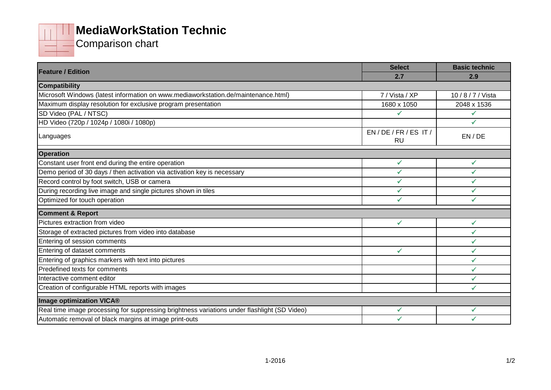

## **MediaWorkStation Technic**

Comparison chart

| <b>Feature / Edition</b>                                                                     | <b>Select</b>         | <b>Basic technic</b> |
|----------------------------------------------------------------------------------------------|-----------------------|----------------------|
|                                                                                              | 2.7                   | 2.9                  |
| <b>Compatibility</b>                                                                         |                       |                      |
| Microsoft Windows (latest information on www.mediaworkstation.de/maintenance.html)           | 7 / Vista / XP        | 10/8/7/Vista         |
| Maximum display resolution for exclusive program presentation                                | 1680 x 1050           | 2048 x 1536          |
| SD Video (PAL / NTSC)                                                                        | ✓                     | ✓                    |
| HD Video (720p / 1024p / 1080i / 1080p)                                                      |                       | $\checkmark$         |
| Languages                                                                                    | EN/DE/FR/ES IT/<br>RU | EN/DE                |
| <b>Operation</b>                                                                             |                       |                      |
| Constant user front end during the entire operation                                          | $\checkmark$          | ✓                    |
| Demo period of 30 days / then activation via activation key is necessary                     | ✓                     |                      |
| Record control by foot switch, USB or camera                                                 | ✓                     | $\checkmark$         |
| During recording live image and single pictures shown in tiles                               | ✓                     | ✓                    |
| Optimized for touch operation                                                                | ✓                     | ✔                    |
| <b>Comment &amp; Report</b>                                                                  |                       |                      |
| Pictures extraction from video                                                               | ✓                     | ✓                    |
| Storage of extracted pictures from video into database                                       |                       | ✓                    |
| Entering of session comments                                                                 |                       | $\checkmark$         |
| Entering of dataset comments                                                                 | ✔                     | ✔                    |
| Entering of graphics markers with text into pictures                                         |                       | ✓                    |
| Predefined texts for comments                                                                |                       | $\checkmark$         |
| Interactive comment editor                                                                   |                       | $\checkmark$         |
| Creation of configurable HTML reports with images                                            |                       |                      |
| Image optimization VICA®                                                                     |                       |                      |
| Real time image processing for suppressing brightness variations under flashlight (SD Video) | ✓                     | ✔                    |
| Automatic removal of black margins at image print-outs                                       |                       |                      |